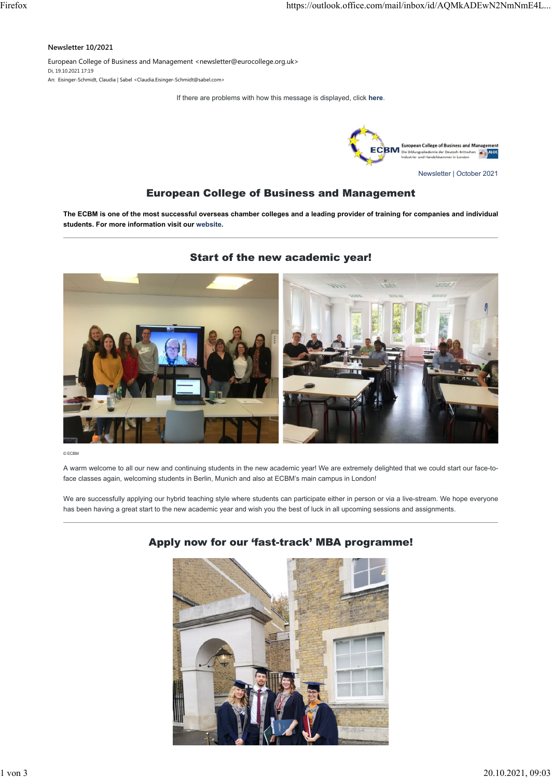#### **Newsletter 10/2021**

European College of Business and Management <newsletter@eurocollege.org.uk> Di, 19.10.2021 17:19

An: Eisinger-Schmidt, Claudia | Sabel <Claudia.Eisinger-Schmidt@sabel.com>

If there are problems with how this message is displayed, click **[here](http://158419.140539.seu2.cleverreach.com/c/64001182/3e8dfb099ecd-r18d7z)**.



Newsletter | October 2021

# European College of Business and Management

**The ECBM is one of the most successful overseas chamber colleges and a leading provider of training for companies and individual students. For more information visit our [website.](http://158419.140539.seu2.cleverreach.com/c/64001184/3e8dfb099ecd-r18d7z)**

### Start of the new academic year!



© ECBM

A warm welcome to all our new and continuing students in the new academic year! We are extremely delighted that we could start our face-toface classes again, welcoming students in Berlin, Munich and also at ECBM's main campus in London!

We are successfully applying our hybrid teaching style where students can participate either in person or via a live-stream. We hope everyone has been having a great start to the new academic year and wish you the best of luck in all upcoming sessions and assignments.



# Apply now for our 'fast-track' MBA programme!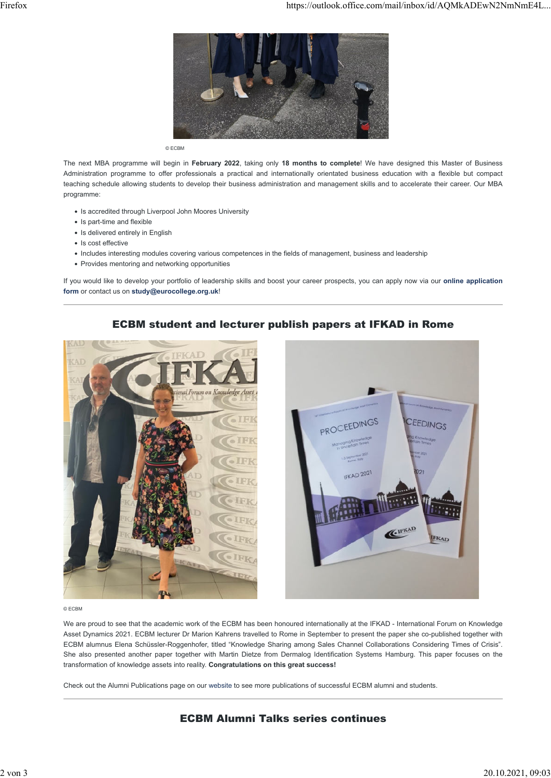

© ECBM

The next MBA programme will begin in **February 2022**, taking only **18 months to complete**! We have designed this Master of Business Administration programme to offer professionals a practical and internationally orientated business education with a flexible but compact teaching schedule allowing students to develop their business administration and management skills and to accelerate their career. Our MBA programme:

- Is accredited through Liverpool John Moores University
- Is part-time and flexible
- Is delivered entirely in English
- Is cost effective
- Includes interesting modules covering various competences in the fields of management, business and leadership
- Provides mentoring and networking opportunities

If you would like to develop your portfolio of leadership skills and boost your career prospects, you can apply now via our **[online application](http://158419.140539.seu2.cleverreach.com/c/64001188/3e8dfb099ecd-r18d7z) [form](http://158419.140539.seu2.cleverreach.com/c/64001188/3e8dfb099ecd-r18d7z)** or contact us on **[study@eurocollege.org.uk](mailto:study@eurocollege.org.uk)**!

### ECBM student and lecturer publish papers at IFKAD in Rome





#### © ECBM

We are proud to see that the academic work of the ECBM has been honoured internationally at the IFKAD - International Forum on Knowledge Asset Dynamics 2021. ECBM lecturer Dr Marion Kahrens travelled to Rome in September to present the paper she co-published together with ECBM alumnus Elena Schüssler-Roggenhofer, titled "Knowledge Sharing among Sales Channel Collaborations Considering Times of Crisis". She also presented another paper together with Martin Dietze from Dermalog Identification Systems Hamburg. This paper focuses on the transformation of knowledge assets into reality. **Congratulations on this great success!**

Check out the Alumni Publications page on our [website t](http://158419.140539.seu2.cleverreach.com/c/64010117/3e8dfb099ecd-r18d7z)o see more publications of successful ECBM alumni and students.

# ECBM Alumni Talks series continues